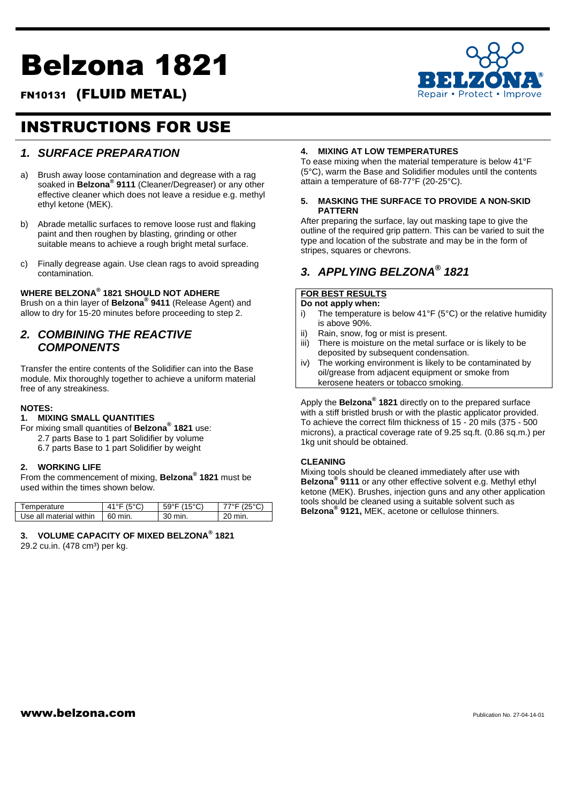# Belzona 1821



# FN10131 (FLUID METAL)

# INSTRUCTIONS FOR USE

# *1. SURFACE PREPARATION*

- a) Brush away loose contamination and degrease with a rag soaked in **Belzona® 9111** (Cleaner/Degreaser) or any other effective cleaner which does not leave a residue e.g. methyl ethyl ketone (MEK).
- b) Abrade metallic surfaces to remove loose rust and flaking paint and then roughen by blasting, grinding or other suitable means to achieve a rough bright metal surface.
- c) Finally degrease again. Use clean rags to avoid spreading contamination.

#### **WHERE BELZONA® 1821 SHOULD NOT ADHERE**

Brush on a thin layer of **Belzona® 9411** (Release Agent) and allow to dry for 15-20 minutes before proceeding to step 2.

## *2. COMBINING THE REACTIVE COMPONENTS*

Transfer the entire contents of the Solidifier can into the Base module. Mix thoroughly together to achieve a uniform material free of any streakiness.

#### **NOTES:**

#### **1. MIXING SMALL QUANTITIES**

For mixing small quantities of **Belzona® 1821** use: 2.7 parts Base to 1 part Solidifier by volume 6.7 parts Base to 1 part Solidifier by weight

#### **2. WORKING LIFE**

From the commencement of mixing, **Belzona® 1821** must be used within the times shown below.

| Temperature             | 41°F(5°C) | $59^{\circ}$ F (15 $^{\circ}$ C) | 7°E (25°C) |
|-------------------------|-----------|----------------------------------|------------|
|                         |           |                                  |            |
| Use all material within | 60 min.   | 30 min.                          | 20 min.    |

#### **3. VOLUME CAPACITY OF MIXED BELZONA® 1821**

29.2 cu.in. (478 cm<sup>3</sup>) per kg.

#### **4. MIXING AT LOW TEMPERATURES**

To ease mixing when the material temperature is below 41°F (5°C), warm the Base and Solidifier modules until the contents attain a temperature of 68-77°F (20-25°C).

#### **5. MASKING THE SURFACE TO PROVIDE A NON-SKID PATTERN**

After preparing the surface, lay out masking tape to give the outline of the required grip pattern. This can be varied to suit the type and location of the substrate and may be in the form of stripes, squares or chevrons.

# *3. APPLYING BELZONA® 1821*

#### **FOR BEST RESULTS Do not apply when:**

- i) The temperature is below 41°F (5°C) or the relative humidity is above 90%.
- ii) Rain, snow, fog or mist is present.
- iii) There is moisture on the metal surface or is likely to be deposited by subsequent condensation.
- iv) The working environment is likely to be contaminated by oil/grease from adjacent equipment or smoke from kerosene heaters or tobacco smoking.

Apply the **Belzona® 1821** directly on to the prepared surface with a stiff bristled brush or with the plastic applicator provided. To achieve the correct film thickness of 15 - 20 mils (375 - 500 microns), a practical coverage rate of 9.25 sq.ft. (0.86 sq.m.) per 1kg unit should be obtained.

#### **CLEANING**

Mixing tools should be cleaned immediately after use with **Belzona® 9111** or any other effective solvent e.g. Methyl ethyl ketone (MEK). Brushes, injection guns and any other application tools should be cleaned using a suitable solvent such as **Belzona® 9121,** MEK, acetone or cellulose thinners.